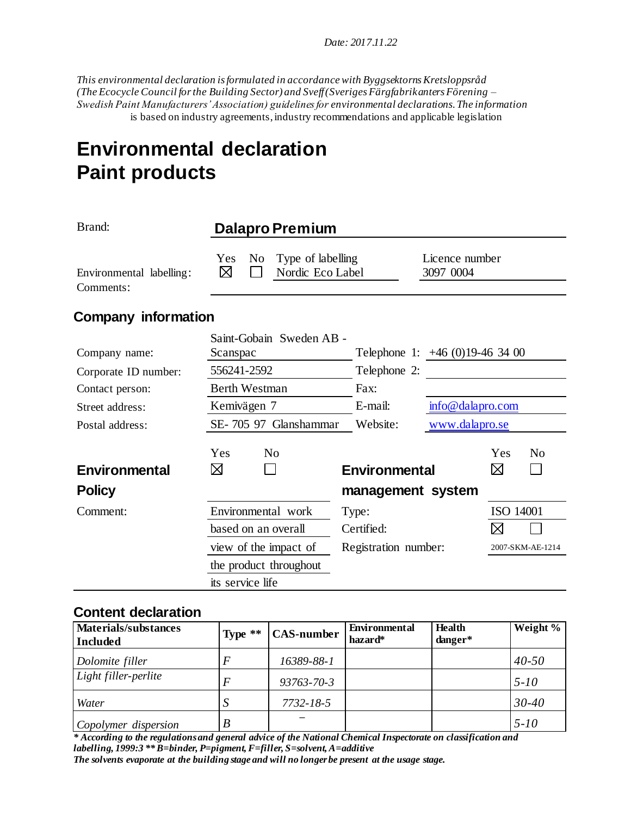*Date: 2017.11.22* 

*This environmental declaration is formulated in accordance with Byggsektorns Kretsloppsråd (The Ecocycle Council for the Building Sector) and Sveff (Sveriges Färgfabrikanters Förening – Swedish Paint Manufacturers' Association) guidelines for environmental declarations. The information* is based on industry agreements, industry recommendations and applicable legislation

# **Environmental declaration Paint products**

| Brand:                                | <b>Dalapro Premium</b>                                              |                      |                                |  |
|---------------------------------------|---------------------------------------------------------------------|----------------------|--------------------------------|--|
| Environmental labelling:<br>Comments: | Type of labelling<br>Yes<br>N <sub>0</sub><br>⊠<br>Nordic Eco Label |                      | Licence number<br>3097 0004    |  |
| <b>Company information</b>            |                                                                     |                      |                                |  |
| Company name:                         | Saint-Gobain Sweden AB -<br>Scanspac                                |                      | Telephone 1: $+46(0)19-463400$ |  |
| Corporate ID number:                  | 556241-2592                                                         | Telephone 2:         |                                |  |
| Contact person:                       | <b>Berth Westman</b>                                                | Fax:                 |                                |  |
| Street address:                       | Kemivägen 7                                                         | E-mail:              | info@dalapro.com               |  |
| Postal address:                       | SE-705 97 Glanshammar                                               | Website:             | www.dalapro.se                 |  |
| Environmental                         | Yes<br>N <sub>0</sub><br>⊠                                          | <b>Environmental</b> | Yes<br>N <sub>o</sub><br>⊠     |  |
| <b>Policy</b>                         |                                                                     | management system    |                                |  |
| Comment:                              | Environmental work                                                  | Type:                | ISO 14001                      |  |
|                                       | based on an overall                                                 | Certified:           | ⊠                              |  |
|                                       | view of the impact of                                               | Registration number: | 2007-SKM-AE-1214               |  |
|                                       | the product throughout                                              |                      |                                |  |
|                                       | its service life                                                    |                      |                                |  |

#### **Content declaration**

| <b>Materials/substances</b><br><b>Included</b> | Type $**$ | <b>CAS-number</b> | <b>Environmental</b><br>hazard* | <b>Health</b><br>danger* | Weight %  |
|------------------------------------------------|-----------|-------------------|---------------------------------|--------------------------|-----------|
| Dolomite filler                                | E         | 16389-88-1        |                                 |                          | $40 - 50$ |
| Light filler-perlite                           | F         | $93763 - 70 - 3$  |                                 |                          | $5 - 10$  |
| Water                                          |           | 7732-18-5         |                                 |                          | $30 - 40$ |
| Copolymer dispersion                           | B         |                   |                                 |                          | $5 - 10$  |

*\* According to the regulations and general advice of the National Chemical Inspectorate on classification and labelling, 1999:3 \*\* B=binder, P=pigment, F=filler, S=solvent, A=additive The solvents evaporate at the building stage and will no longer be present at the usage stage.*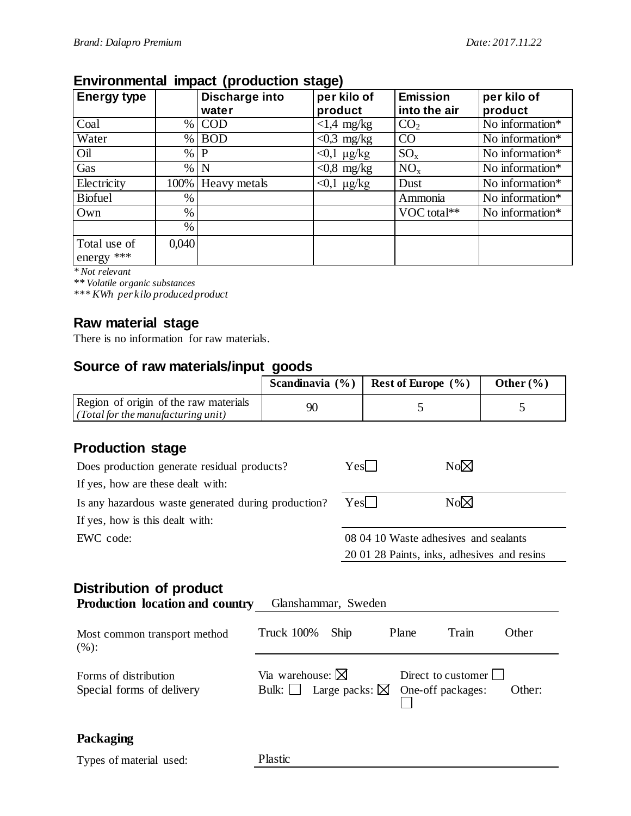## **Environmental impact (production stage)**

| <b>Energy type</b>           |       | Discharge into | per kilo of        | <b>Emission</b> | per kilo of        |
|------------------------------|-------|----------------|--------------------|-----------------|--------------------|
|                              |       | water          | product            | into the air    | product            |
| Coal                         | $\%$  | <b>COD</b>     | $<1.4$ mg/kg       | CO <sub>2</sub> | No information $*$ |
| Water                        | $\%$  | <b>BOD</b>     | $< 0.3$ mg/kg      | CO              | No information*    |
| Oil                          | $\%$  | P              | $<$ 0,1 µg/kg      | $SO_{x}$        | No information*    |
| Gas                          | $\%$  | N              | $< 0.8$ mg/kg      | $NO_{x}$        | No information*    |
| Electricity                  | 100%  | Heavy metals   | $<$ 0,1 $\mu$ g/kg | Dust            | No information*    |
| <b>Biofuel</b>               | $\%$  |                |                    | Ammonia         | No information*    |
| Own                          | $\%$  |                |                    | VOC total**     | No information*    |
|                              | $\%$  |                |                    |                 |                    |
| Total use of<br>energy $***$ | 0,040 |                |                    |                 |                    |

*\* Not relevant*

*\*\* Volatile organic substances*

*\*\*\* KWh per kilo produced product*

#### **Raw material stage**

There is no information for raw materials.

### **Source of raw materials/input goods**

|                                                                                                   | Scandinavia (%)                                                                 |                                             | Rest of Europe (%)                               | Other $(\% )$ |  |
|---------------------------------------------------------------------------------------------------|---------------------------------------------------------------------------------|---------------------------------------------|--------------------------------------------------|---------------|--|
| Region of origin of the raw materials<br>(Total for the manufacturing unit)                       | 90                                                                              |                                             | 5                                                | 5             |  |
| <b>Production stage</b>                                                                           |                                                                                 |                                             |                                                  |               |  |
| Does production generate residual products?                                                       |                                                                                 | Yes                                         | $No\boxtimes$                                    |               |  |
| If yes, how are these dealt with:                                                                 |                                                                                 |                                             |                                                  |               |  |
| Is any hazardous waste generated during production?                                               |                                                                                 | $Yes\Box$                                   | $No\boxtimes$                                    |               |  |
| If yes, how is this dealt with:                                                                   |                                                                                 |                                             |                                                  |               |  |
| EWC code:                                                                                         |                                                                                 | 08 04 10 Waste adhesives and sealants       |                                                  |               |  |
|                                                                                                   |                                                                                 | 20 01 28 Paints, inks, adhesives and resins |                                                  |               |  |
| Distribution of product<br><b>Production location and country</b><br>Most common transport method | Glanshammar, Sweden<br><b>Truck 100%</b><br>Ship                                |                                             | Plane<br>Train                                   | Other         |  |
| (%):                                                                                              |                                                                                 |                                             |                                                  |               |  |
| Forms of distribution<br>Special forms of delivery                                                | Via warehouse: $\boxtimes$<br>Bulk: $\vert \ \vert$<br>Large packs: $\boxtimes$ |                                             | Direct to customer $\lceil$<br>One-off packages: | Other:        |  |
| Packaging                                                                                         |                                                                                 |                                             |                                                  |               |  |
| Types of material used:                                                                           | Plastic                                                                         |                                             |                                                  |               |  |
|                                                                                                   |                                                                                 |                                             |                                                  |               |  |